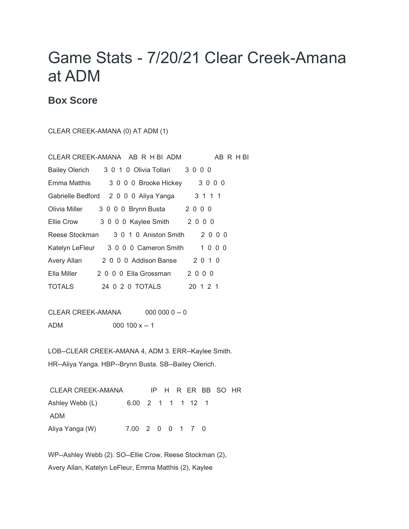## Game Stats - 7/20/21 Clear Creek-Amana at ADM

## **Box Score**

CLEAR CREEK-AMANA (0) AT ADM (1)

|                       | CLEAR CREEK-AMANA ABRHBIADM                   | ABRHBI   |
|-----------------------|-----------------------------------------------|----------|
| <b>Bailey Olerich</b> | 3 0 1 0 Olivia Tollari                        | 3000     |
| Emma Matthis          | 3 0 0 0 Brooke Hickey 3 0 0 0                 |          |
|                       | Gabrielle Bedford 2 0 0 0 Aliya Yanga         | 3 1 1 1  |
| Olivia Miller         | 3 0 0 0 Brynn Busta 2 0 0 0                   |          |
| Ellie Crow            | 3 0 0 0 Kaylee Smith                          | 2 0 0 0  |
| Reese Stockman        | 3 0 1 0 Aniston Smith                         | 2000     |
|                       | Katelyn LeFleur 3 0 0 0 Cameron Smith 1 0 0 0 |          |
| Avery Allan           | 2 0 0 0 Addison Banse 2 0 1 0                 |          |
| Ella Miller           | 2 0 0 0 Ella Grossman 2 0 0 0                 |          |
| <b>TOTALS</b>         | 24 0 2 0 TOTALS                               | 20 1 2 1 |

CLEAR CREEK-AMANA 000 000 0 -- 0 ADM 000 100 x -- 1

LOB--CLEAR CREEK-AMANA 4, ADM 3. ERR--Kaylee Smith. HR--Aliya Yanga. HBP--Brynn Busta. SB--Bailey Olerich.

CLEAR CREEK-AMANA IP H R ER BB SO HR Ashley Webb (L) 6.00 2 1 1 1 12 1 ADM Aliya Yanga (W) 7.00 2 0 0 1 7 0

WP--Ashley Webb (2). SO--Ellie Crow, Reese Stockman (2), Avery Allan, Katelyn LeFleur, Emma Matthis (2), Kaylee